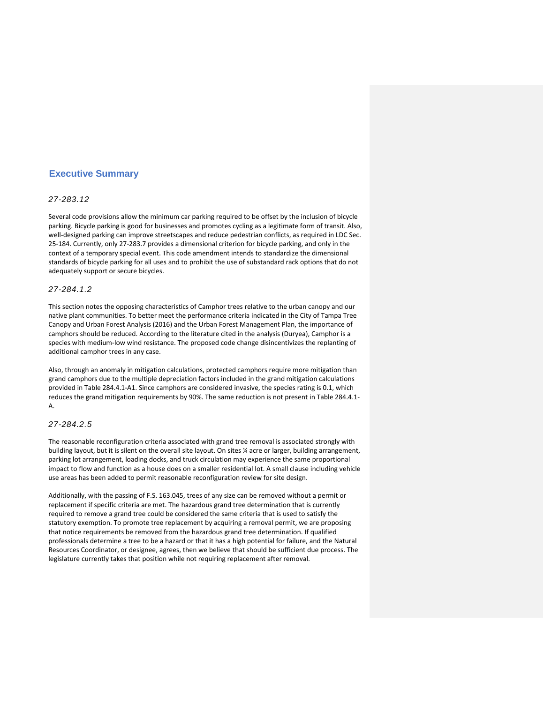### **Executive Summary**

### *27-283.12*

Several code provisions allow the minimum car parking required to be offset by the inclusion of bicycle parking. Bicycle parking is good for businesses and promotes cycling as a legitimate form of transit. Also, well-designed parking can improve streetscapes and reduce pedestrian conflicts, as required in LDC Sec. 25-184. Currently, only 27-283.7 provides a dimensional criterion for bicycle parking, and only in the context of a temporary special event. This code amendment intends to standardize the dimensional standards of bicycle parking for all uses and to prohibit the use of substandard rack options that do not adequately support or secure bicycles.

### *27-284.1.2*

This section notes the opposing characteristics of Camphor trees relative to the urban canopy and our native plant communities. To better meet the performance criteria indicated in the City of Tampa Tree Canopy and Urban Forest Analysis (2016) and the Urban Forest Management Plan, the importance of camphors should be reduced. According to the literature cited in the analysis (Duryea), Camphor is a species with medium-low wind resistance. The proposed code change disincentivizes the replanting of additional camphor trees in any case.

Also, through an anomaly in mitigation calculations, protected camphors require more mitigation than grand camphors due to the multiple depreciation factors included in the grand mitigation calculations provided in Table 284.4.1-A1. Since camphors are considered invasive, the species rating is 0.1, which reduces the grand mitigation requirements by 90%. The same reduction is not present in Table 284.4.1- A.

### *27-284.2.5*

The reasonable reconfiguration criteria associated with grand tree removal is associated strongly with building layout, but it is silent on the overall site layout. On sites ¼ acre or larger, building arrangement, parking lot arrangement, loading docks, and truck circulation may experience the same proportional impact to flow and function as a house does on a smaller residential lot. A small clause including vehicle use areas has been added to permit reasonable reconfiguration review for site design.

Additionally, with the passing of F.S. 163.045, trees of any size can be removed without a permit or replacement if specific criteria are met. The hazardous grand tree determination that is currently required to remove a grand tree could be considered the same criteria that is used to satisfy the statutory exemption. To promote tree replacement by acquiring a removal permit, we are proposing that notice requirements be removed from the hazardous grand tree determination. If qualified professionals determine a tree to be a hazard or that it has a high potential for failure, and the Natural Resources Coordinator, or designee, agrees, then we believe that should be sufficient due process. The legislature currently takes that position while not requiring replacement after removal.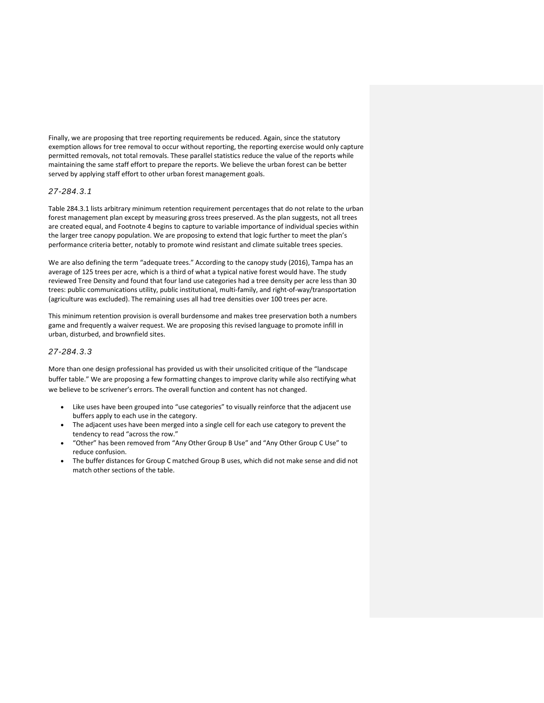Finally, we are proposing that tree reporting requirements be reduced. Again, since the statutory exemption allows for tree removal to occur without reporting, the reporting exercise would only capture permitted removals, not total removals. These parallel statistics reduce the value of the reports while maintaining the same staff effort to prepare the reports. We believe the urban forest can be better served by applying staff effort to other urban forest management goals.

### *27-284.3.1*

Table 284.3.1 lists arbitrary minimum retention requirement percentages that do not relate to the urban forest management plan except by measuring gross trees preserved. As the plan suggests, not all trees are created equal, and Footnote 4 begins to capture to variable importance of individual species within the larger tree canopy population. We are proposing to extend that logic further to meet the plan's performance criteria better, notably to promote wind resistant and climate suitable trees species.

We are also defining the term "adequate trees." According to the canopy study (2016), Tampa has an average of 125 trees per acre, which is a third of what a typical native forest would have. The study reviewed Tree Density and found that four land use categories had a tree density per acre less than 30 trees: public communications utility, public institutional, multi-family, and right-of-way/transportation (agriculture was excluded). The remaining uses all had tree densities over 100 trees per acre.

This minimum retention provision is overall burdensome and makes tree preservation both a numbers game and frequently a waiver request. We are proposing this revised language to promote infill in urban, disturbed, and brownfield sites.

### *27-284.3.3*

More than one design professional has provided us with their unsolicited critique of the "landscape buffer table." We are proposing a few formatting changes to improve clarity while also rectifying what we believe to be scrivener's errors. The overall function and content has not changed.

- Like uses have been grouped into "use categories" to visually reinforce that the adjacent use buffers apply to each use in the category.
- The adjacent uses have been merged into a single cell for each use category to prevent the tendency to read "across the row."
- "Other" has been removed from "Any Other Group B Use" and "Any Other Group C Use" to reduce confusion.
- The buffer distances for Group C matched Group B uses, which did not make sense and did not match other sections of the table.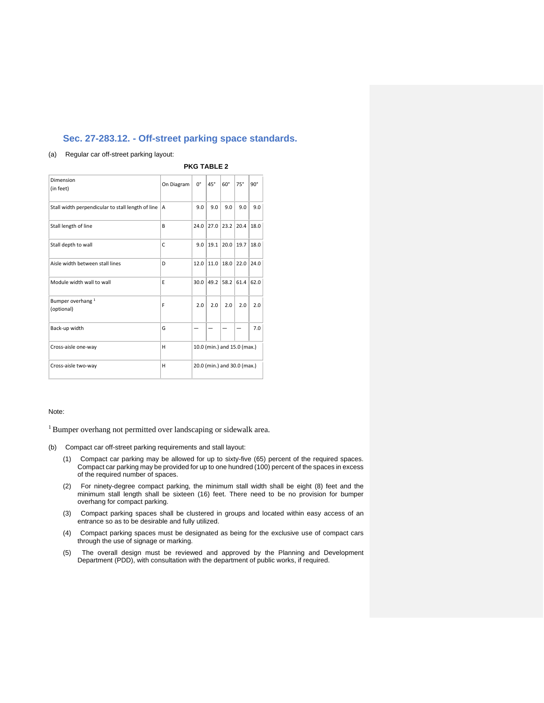## **Sec. 27-283.12. - Off-street parking space standards.**

**PKG TABLE 2**

#### (a) Regular car off-street parking layout:

| Dimension<br>(in feet)                            | On Diagram | $0^{\circ}$ | $45^{\circ}$ | $60^\circ$                  | $75^\circ$ | $90^\circ$ |
|---------------------------------------------------|------------|-------------|--------------|-----------------------------|------------|------------|
| Stall width perpendicular to stall length of line | ÌА.        | 9.0         | 9.0          | 9.0                         | 9.0        | 9.0        |
| Stall length of line                              | B          | 24.0        | 27.0         | 23.2                        | 20.4       | 18.0       |
| Stall depth to wall                               | C          | 9.0         | 19.1         | 20.0                        | 19.7       | 18.0       |
| Aisle width between stall lines                   | D          | 12.0        | 11.0         | 18.0                        | 22.0       | 24.0       |
| Module width wall to wall                         | E          | 30.0        | 49.2         | 58.2                        | 61.4       | 62.0       |
| Bumper overhang <sup>1</sup><br>(optional)        | F          | 2.0         | 2.0          | 2.0                         | 2.0        | 2.0        |
| Back-up width                                     | G          |             |              |                             |            | 7.0        |
| Cross-aisle one-way                               | н          |             |              | 10.0 (min.) and 15.0 (max.) |            |            |
| Cross-aisle two-way                               | н          |             |              | 20.0 (min.) and 30.0 (max.) |            |            |

#### Note:

<sup>1</sup> Bumper overhang not permitted over landscaping or sidewalk area.

- (b) Compact car off-street parking requirements and stall layout:
	- (1) Compact car parking may be allowed for up to sixty-five (65) percent of the required spaces. Compact car parking may be provided for up to one hundred (100) percent of the spaces in excess of the required number of spaces.
	- (2) For ninety-degree compact parking, the minimum stall width shall be eight (8) feet and the minimum stall length shall be sixteen (16) feet. There need to be no provision for bumper overhang for compact parking.
	- (3) Compact parking spaces shall be clustered in groups and located within easy access of an entrance so as to be desirable and fully utilized.
	- (4) Compact parking spaces must be designated as being for the exclusive use of compact cars through the use of signage or marking.
	- (5) The overall design must be reviewed and approved by the Planning and Development Department (PDD), with consultation with the department of public works, if required.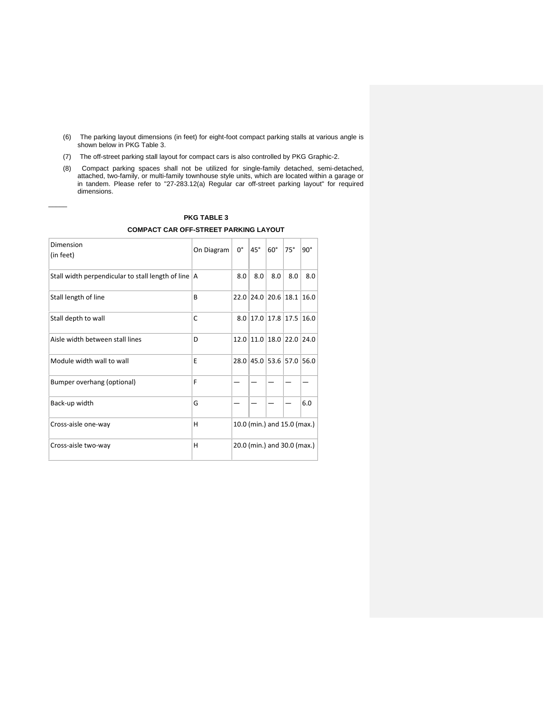- (6) The parking layout dimensions (in feet) for eight-foot compact parking stalls at various angle is shown below in PKG Table 3.
- (7) The off-street parking stall layout for compact cars is also controlled by PKG Graphic-2.

 $\overline{\phantom{a}}$ 

(8) Compact parking spaces shall not be utilized for single-family detached, semi-detached, attached, two-family, or multi-family townhouse style units, which are located within a garage or in tandem. Please refer to "27-283.12(a) Regular car off-street parking layout" for required dimensions.

| Dimension<br>(in feet)                              | On Diagram | $0^{\circ}$ | $45^\circ$ | $60^\circ$                  | $75^\circ$ | $90^\circ$ |
|-----------------------------------------------------|------------|-------------|------------|-----------------------------|------------|------------|
| Stall width perpendicular to stall length of line A |            | 8.0         | 8.0        | 8.0                         | 8.0        | 8.0        |
| Stall length of line                                | B          |             |            | 22.0 24.0 20.6 18.1         |            | 16.0       |
| Stall depth to wall                                 | C          | 8.0         |            | $17.0$ 17.8 17.5            |            | 16.0       |
| Aisle width between stall lines                     | D          |             |            | 12.0 11.0 18.0 22.0 24.0    |            |            |
| Module width wall to wall                           | E          |             |            | 28.0 45.0 53.6 57.0 56.0    |            |            |
| Bumper overhang (optional)                          | F          |             |            |                             |            |            |
| Back-up width                                       | G          |             |            |                             |            | 6.0        |
| Cross-aisle one-way                                 | н          |             |            | 10.0 (min.) and 15.0 (max.) |            |            |
| Cross-aisle two-way                                 | н          |             |            | 20.0 (min.) and 30.0 (max.) |            |            |

## **PKG TABLE 3 COMPACT CAR OFF-STREET PARKING LAYOUT**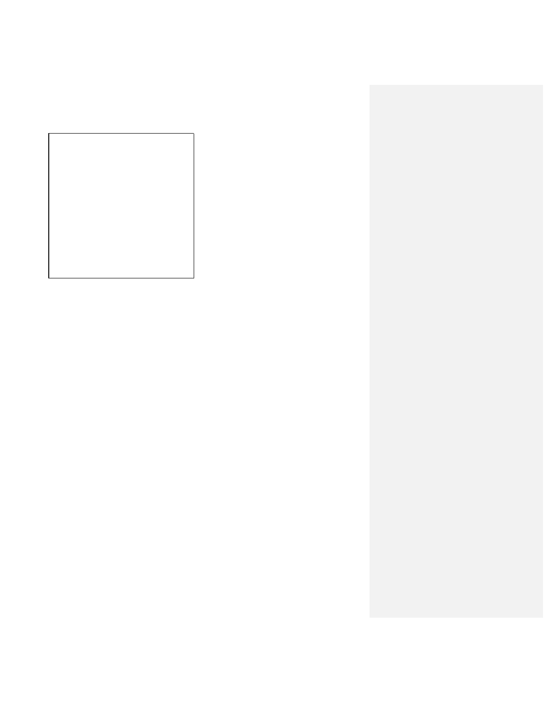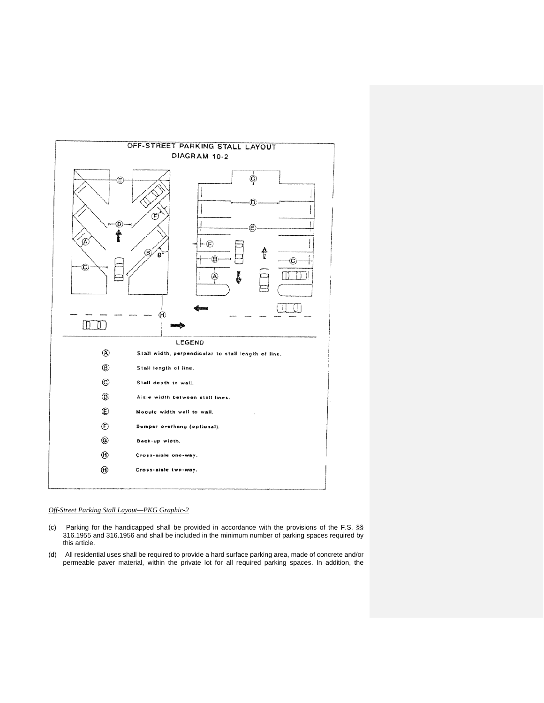

#### *Off-Street Parking Stall Layout—PKG Graphic-2*

- (c) Parking for the handicapped shall be provided in accordance with the provisions of the F.S. §§ 316.1955 and 316.1956 and shall be included in the minimum number of parking spaces required by this article.
- (d) All residential uses shall be required to provide a hard surface parking area, made of concrete and/or permeable paver material, within the private lot for all required parking spaces. In addition, the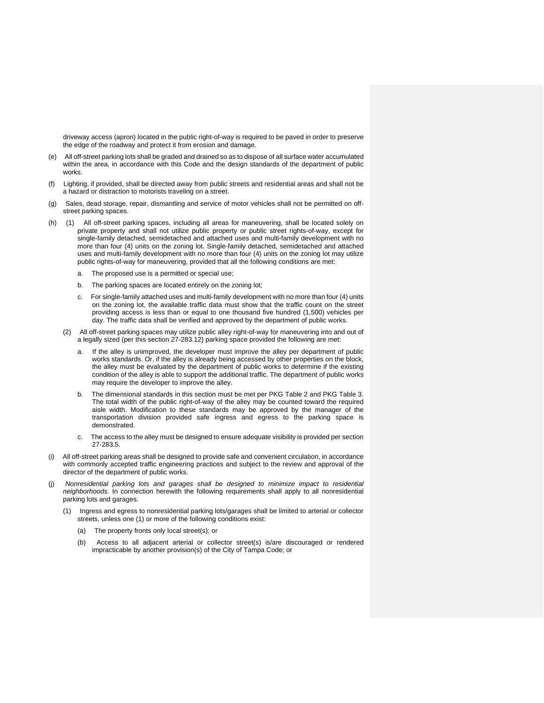driveway access (apron) located in the public right-of-way is required to be paved in order to preserve the edge of the roadway and protect it from erosion and damage.

- (e) All off-street parking lots shall be graded and drained so as to dispose of all surface water accumulated within the area, in accordance with this Code and the design standards of the department of public works.
- (f) Lighting, if provided, shall be directed away from public streets and residential areas and shall not be a hazard or distraction to motorists traveling on a street.
- (g) Sales, dead storage, repair, dismantling and service of motor vehicles shall not be permitted on offstreet parking spaces.
- (h) (1) All off-street parking spaces, including all areas for maneuvering, shall be located solely on private property and shall not utilize public property or public street rights-of-way, except for single-family detached, semidetached and attached uses and multi-family development with no more than four (4) units on the zoning lot. Single-family detached, semidetached and attached uses and multi-family development with no more than four (4) units on the zoning lot may utilize public rights-of-way for maneuvering, provided that all the following conditions are met:
	- a. The proposed use is a permitted or special use;
	- b. The parking spaces are located entirely on the zoning lot;
	- c. For single-family attached uses and multi-family development with no more than four (4) units on the zoning lot, the available traffic data must show that the traffic count on the street providing access is less than or equal to one thousand five hundred (1,500) vehicles per day. The traffic data shall be verified and approved by the department of public works.
	- (2) All off-street parking spaces may utilize public alley right-of-way for maneuvering into and out of a legally sized (per this section 27-283.12) parking space provided the following are met:
		- a. If the alley is unimproved, the developer must improve the alley per department of public works standards. Or, if the alley is already being accessed by other properties on the block, the alley must be evaluated by the department of public works to determine if the existing condition of the alley is able to support the additional traffic. The department of public works may require the developer to improve the alley.
		- b. The dimensional standards in this section must be met per PKG Table 2 and PKG Table 3. The total width of the public right-of-way of the alley may be counted toward the required aisle width. Modification to these standards may be approved by the manager of the transportation division provided safe ingress and egress to the parking space is demonstrated.
		- c. The access to the alley must be designed to ensure adequate visibility is provided per section 27-283.5.
- (i) All off-street parking areas shall be designed to provide safe and convenient circulation, in accordance with commonly accepted traffic engineering practices and subject to the review and approval of the director of the department of public works.
- (j) *Nonresidential parking lots and garages shall be designed to minimize impact to residential neighborhoods.* In connection herewith the following requirements shall apply to all nonresidential parking lots and garages.
	- Ingress and egress to nonresidential parking lots/garages shall be limited to arterial or collector streets, unless one (1) or more of the following conditions exist:
		- (a) The property fronts only local street(s); or
		- (b) Access to all adjacent arterial or collector street(s) is/are discouraged or rendered impracticable by another provision(s) of the City of Tampa Code; or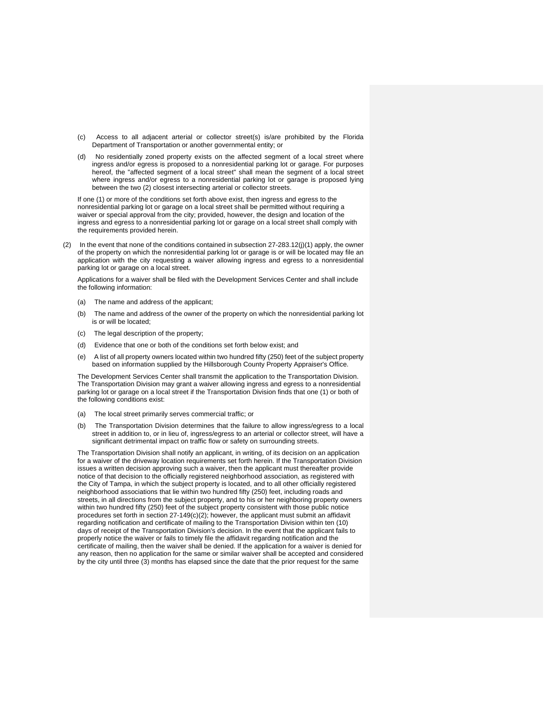- (c) Access to all adjacent arterial or collector street(s) is/are prohibited by the Florida Department of Transportation or another governmental entity; or
- No residentially zoned property exists on the affected segment of a local street where ingress and/or egress is proposed to a nonresidential parking lot or garage. For purposes hereof, the "affected segment of a local street" shall mean the segment of a local street where ingress and/or egress to a nonresidential parking lot or garage is proposed lying between the two (2) closest intersecting arterial or collector streets.

If one (1) or more of the conditions set forth above exist, then ingress and egress to the nonresidential parking lot or garage on a local street shall be permitted without requiring a waiver or special approval from the city; provided, however, the design and location of the ingress and egress to a nonresidential parking lot or garage on a local street shall comply with the requirements provided herein.

(2) In the event that none of the conditions contained in subsection  $27-283.12(j)(1)$  apply, the owner of the property on which the nonresidential parking lot or garage is or will be located may file an application with the city requesting a waiver allowing ingress and egress to a nonresidential parking lot or garage on a local street.

Applications for a waiver shall be filed with the Development Services Center and shall include the following information:

- (a) The name and address of the applicant;
- The name and address of the owner of the property on which the nonresidential parking lot is or will be located;
- (c) The legal description of the property;
- (d) Evidence that one or both of the conditions set forth below exist; and
- (e) A list of all property owners located within two hundred fifty (250) feet of the subject property based on information supplied by the Hillsborough County Property Appraiser's Office.

The Development Services Center shall transmit the application to the Transportation Division. The Transportation Division may grant a waiver allowing ingress and egress to a nonresidential parking lot or garage on a local street if the Transportation Division finds that one (1) or both of the following conditions exist:

- (a) The local street primarily serves commercial traffic; or
- (b) The Transportation Division determines that the failure to allow ingress/egress to a local street in addition to, or in lieu of, ingress/egress to an arterial or collector street, will have a significant detrimental impact on traffic flow or safety on surrounding streets.

The Transportation Division shall notify an applicant, in writing, of its decision on an application for a waiver of the driveway location requirements set forth herein. If the Transportation Division issues a written decision approving such a waiver, then the applicant must thereafter provide notice of that decision to the officially registered neighborhood association, as registered with the City of Tampa, in which the subject property is located, and to all other officially registered neighborhood associations that lie within two hundred fifty (250) feet, including roads and streets, in all directions from the subject property, and to his or her neighboring property owners within two hundred fifty (250) feet of the subject property consistent with those public notice procedures set forth in section 27-149(c)(2); however, the applicant must submit an affidavit regarding notification and certificate of mailing to the Transportation Division within ten (10) days of receipt of the Transportation Division's decision. In the event that the applicant fails to properly notice the waiver or fails to timely file the affidavit regarding notification and the certificate of mailing, then the waiver shall be denied. If the application for a waiver is denied for any reason, then no application for the same or similar waiver shall be accepted and considered by the city until three (3) months has elapsed since the date that the prior request for the same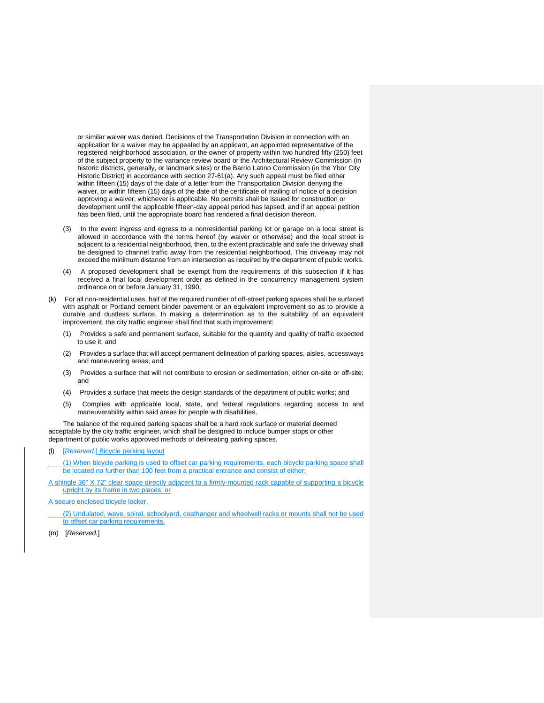or similar waiver was denied. Decisions of the Transportation Division in connection with an application for a waiver may be appealed by an applicant, an appointed representative of the registered neighborhood association, or the owner of property within two hundred fifty (250) feet of the subject property to the variance review board or the Architectural Review Commission (in historic districts, generally, or landmark sites) or the Barrio Latino Commission (in the Ybor City Historic District) in accordance with section 27-61(a). Any such appeal must be filed either within fifteen (15) days of the date of a letter from the Transportation Division denying the waiver, or within fifteen (15) days of the date of the certificate of mailing of notice of a decision approving a waiver, whichever is applicable. No permits shall be issued for construction or development until the applicable fifteen-day appeal period has lapsed, and if an appeal petition has been filed, until the appropriate board has rendered a final decision thereon.

- (3) In the event ingress and egress to a nonresidential parking lot or garage on a local street is allowed in accordance with the terms hereof (by waiver or otherwise) and the local street is adjacent to a residential neighborhood, then, to the extent practicable and safe the driveway shall be designed to channel traffic away from the residential neighborhood. This driveway may not exceed the minimum distance from an intersection as required by the department of public works.
- (4) A proposed development shall be exempt from the requirements of this subsection if it has received a final local development order as defined in the concurrency management system ordinance on or before January 31, 1990.
- (k) For all non-residential uses, half of the required number of off-street parking spaces shall be surfaced with asphalt or Portland cement binder pavement or an equivalent improvement so as to provide a durable and dustless surface. In making a determination as to the suitability of an equivalent improvement, the city traffic engineer shall find that such improvement:
	- (1) Provides a safe and permanent surface, suitable for the quantity and quality of traffic expected to use it; and
	- (2) Provides a surface that will accept permanent delineation of parking spaces, aisles, accessways and maneuvering areas; and
	- (3) Provides a surface that will not contribute to erosion or sedimentation, either on-site or off-site; and
	- (4) Provides a surface that meets the design standards of the department of public works; and
	- (5) Complies with applicable local, state, and federal regulations regarding access to and maneuverability within said areas for people with disabilities.

The balance of the required parking spaces shall be a hard rock surface or material deemed acceptable by the city traffic engineer, which shall be designed to include bumper stops or other department of public works approved methods of delineating parking spaces.

#### (l) [*Reserved.*] Bicycle parking layout

- (1) When bicycle parking is used to offset car parking requirements, each bicycle parking space shall be located no further than 100 feet from a practical entrance and consist of either:
- A shingle 36" X 72" clear space directly adjacent to a firmly-mounted rack capable of supporting a bicycle upright by its frame in two places; or

#### A secure enclosed bicycle locker.

- (2) Undulated, wave, spiral, schoolyard, coathanger and wheelwell racks or mounts shall not be used to offset car parking requirements.
- (m) [*Reserved.*]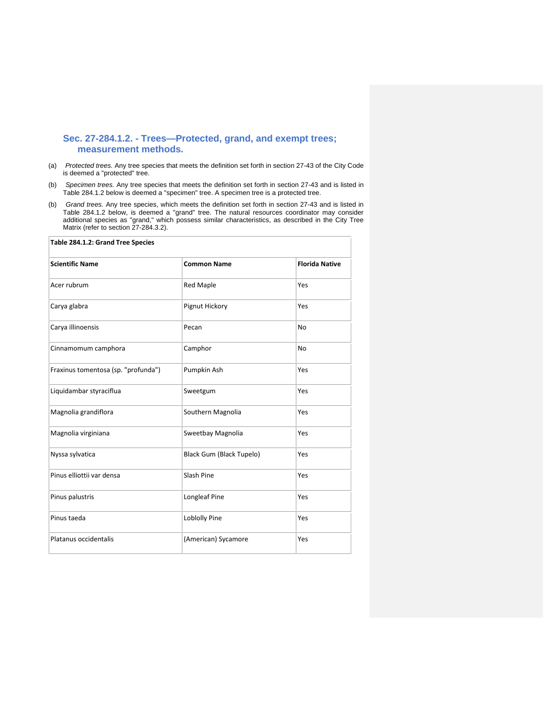## **Sec. 27-284.1.2. - Trees—Protected, grand, and exempt trees; measurement methods.**

- (a) *Protected trees.* Any tree species that meets the definition set forth in section 27-43 of the City Code is deemed a "protected" tree.
- (b) *Specimen trees.* Any tree species that meets the definition set forth in section 27-43 and is listed in Table 284.1.2 below is deemed a "specimen" tree. A specimen tree is a protected tree.
- (b) *Grand trees.* Any tree species, which meets the definition set forth in section 27-43 and is listed in Table 284.1.2 below, is deemed a "grand" tree. The natural resources coordinator may consider additional species as "grand," which possess similar characteristics, as described in the City Tree Matrix (refer to section 27-284.3.2).

| Table 284.1.2: Grand Tree Species   |                          |                       |  |
|-------------------------------------|--------------------------|-----------------------|--|
| <b>Scientific Name</b>              | <b>Common Name</b>       | <b>Florida Native</b> |  |
| Acer rubrum                         | Red Maple                | Yes                   |  |
| Carya glabra                        | Pignut Hickory           | Yes                   |  |
| Carya illinoensis                   | Pecan                    | No                    |  |
| Cinnamomum camphora                 | Camphor                  | No                    |  |
| Fraxinus tomentosa (sp. "profunda") | Pumpkin Ash              | Yes                   |  |
| Liquidambar styraciflua             | Sweetgum                 | Yes                   |  |
| Magnolia grandiflora                | Southern Magnolia        | Yes                   |  |
| Magnolia virginiana                 | Sweetbay Magnolia        | Yes                   |  |
| Nyssa sylvatica                     | Black Gum (Black Tupelo) | Yes                   |  |
| Pinus elliottii var densa           | Slash Pine               | Yes                   |  |
| Pinus palustris                     | Longleaf Pine            | Yes                   |  |
| Pinus taeda                         | Loblolly Pine            | Yes                   |  |
| Platanus occidentalis               | (American) Sycamore      | Yes                   |  |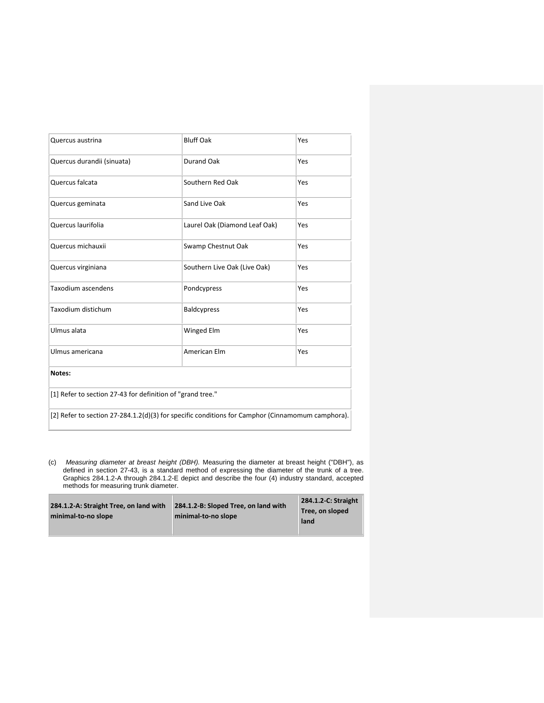| Quercus austrina                                                                                 | <b>Bluff Oak</b>              | Yes |  |  |
|--------------------------------------------------------------------------------------------------|-------------------------------|-----|--|--|
| Quercus durandii (sinuata)                                                                       | <b>Durand Oak</b>             | Yes |  |  |
| Quercus falcata                                                                                  | Southern Red Oak              | Yes |  |  |
| Quercus geminata                                                                                 | Sand Live Oak                 | Yes |  |  |
| Quercus laurifolia                                                                               | Laurel Oak (Diamond Leaf Oak) | Yes |  |  |
| Quercus michauxii                                                                                | Swamp Chestnut Oak            | Yes |  |  |
| Quercus virginiana                                                                               | Southern Live Oak (Live Oak)  | Yes |  |  |
| Taxodium ascendens                                                                               | Pondcypress                   | Yes |  |  |
| Taxodium distichum                                                                               | <b>Baldcypress</b>            | Yes |  |  |
| Ulmus alata                                                                                      | Winged Elm                    | Yes |  |  |
| Ulmus americana                                                                                  | American Elm                  | Yes |  |  |
| Notes:                                                                                           |                               |     |  |  |
| [1] Refer to section 27-43 for definition of "grand tree."                                       |                               |     |  |  |
| [2] Refer to section 27-284.1.2(d)(3) for specific conditions for Camphor (Cinnamomum camphora). |                               |     |  |  |

(c) *Measuring diameter at breast height (DBH).* Measuring the diameter at breast height ("DBH"), as defined in section 27-43, is a standard method of expressing the diameter of the trunk of a tree. Graphics 284.1.2-A through 284.1.2-E depict and describe the four (4) industry standard, accepted methods for measuring trunk diameter.

| 284.1.2-A: Straight Tree, on land with<br>minimal-to-no slope | 284.1.2-B: Sloped Tree, on land with<br>minimal-to-no slope | 284.1.2-C: Straight<br>Tree, on sloped<br>land |
|---------------------------------------------------------------|-------------------------------------------------------------|------------------------------------------------|
|---------------------------------------------------------------|-------------------------------------------------------------|------------------------------------------------|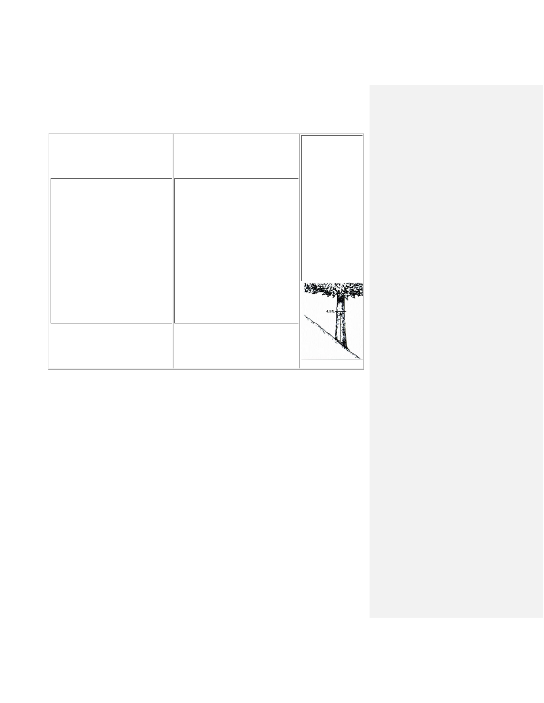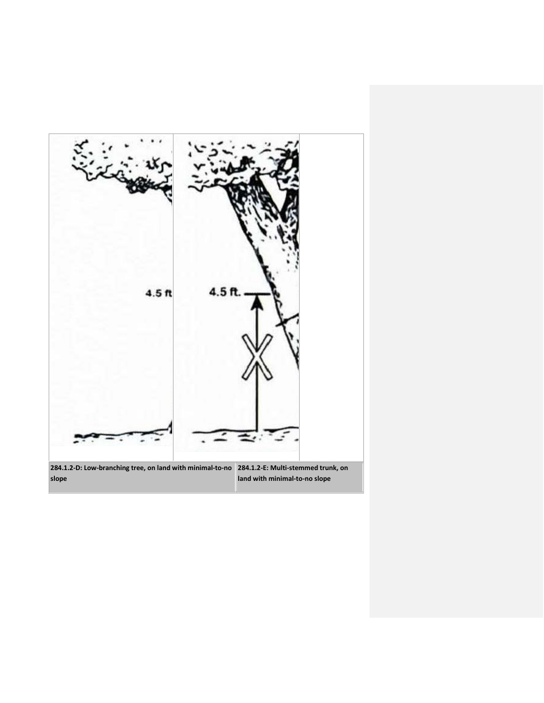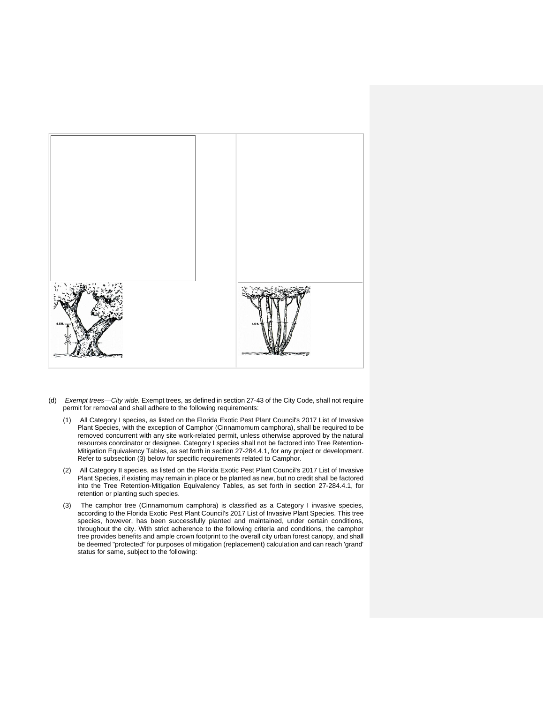

- (d) *Exempt trees—City wide.* Exempt trees, as defined in section 27-43 of the City Code, shall not require permit for removal and shall adhere to the following requirements:
	- (1) All Category I species, as listed on the Florida Exotic Pest Plant Council's 2017 List of Invasive Plant Species, with the exception of Camphor (Cinnamomum camphora), shall be required to be removed concurrent with any site work-related permit, unless otherwise approved by the natural resources coordinator or designee. Category I species shall not be factored into Tree Retention-Mitigation Equivalency Tables, as set forth in section 27-284.4.1, for any project or development. Refer to subsection (3) below for specific requirements related to Camphor.
	- (2) All Category II species, as listed on the Florida Exotic Pest Plant Council's 2017 List of Invasive Plant Species, if existing may remain in place or be planted as new, but no credit shall be factored into the Tree Retention-Mitigation Equivalency Tables, as set forth in section 27-284.4.1, for retention or planting such species.
	- (3) The camphor tree (Cinnamomum camphora) is classified as a Category I invasive species, according to the Florida Exotic Pest Plant Council's 2017 List of Invasive Plant Species. This tree species, however, has been successfully planted and maintained, under certain conditions, throughout the city. With strict adherence to the following criteria and conditions, the camphor tree provides benefits and ample crown footprint to the overall city urban forest canopy, and shall be deemed "protected" for purposes of mitigation (replacement) calculation and can reach 'grand' status for same, subject to the following: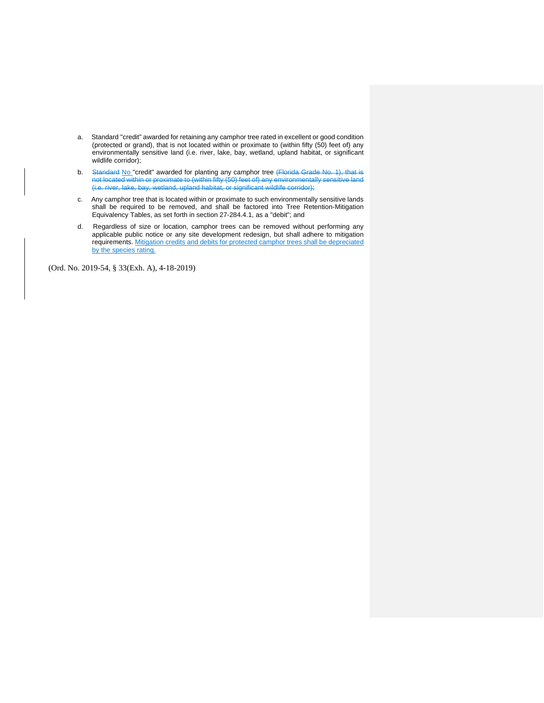- a. Standard "credit" awarded for retaining any camphor tree rated in excellent or good condition (protected or grand), that is not located within or proximate to (within fifty (50) feet of) any environmentally sensitive land (i.e. river, lake, bay, wetland, upland habitat, or significant wildlife corridor);
- b. Standard No "credit" awarded for planting any camphor tree (Florida Grade No. 1), that is not located within or proximate to (within fifty (50) feet of) any environmentally sensitive land (i.e. river, lake, bay, wetland, upland habitat, or significant wildlife corridor);
- c. Any camphor tree that is located within or proximate to such environmentally sensitive lands shall be required to be removed, and shall be factored into Tree Retention-Mitigation Equivalency Tables, as set forth in section 27-284.4.1, as a "debit"; and
- d. Regardless of size or location, camphor trees can be removed without performing any applicable public notice or any site development redesign, but shall adhere to mitigation requirements. Mitigation credits and debits for protected camphor trees shall be depreciated by the species rating.

(Ord. No. 2019-54, § 33(Exh. A), 4-18-2019)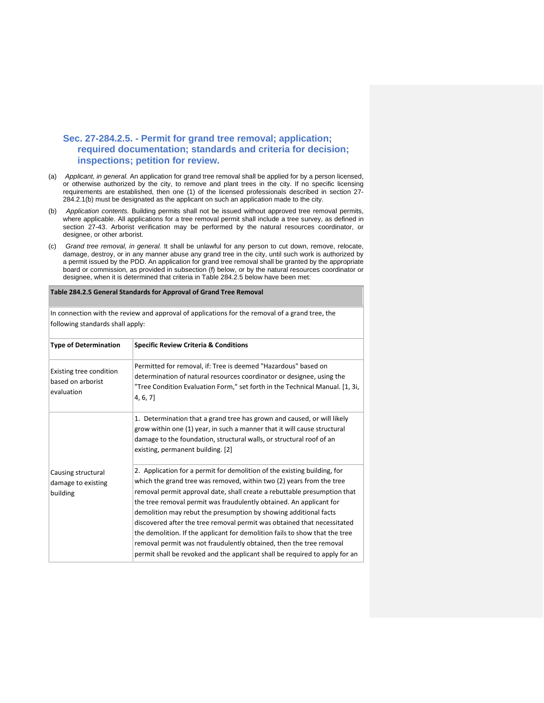## **Sec. 27-284.2.5. - Permit for grand tree removal; application; required documentation; standards and criteria for decision; inspections; petition for review.**

- (a) *Applicant, in general.* An application for grand tree removal shall be applied for by a person licensed, or otherwise authorized by the city, to remove and plant trees in the city. If no specific licensing requirements are established, then one (1) of the licensed professionals described in section 27- 284.2.1(b) must be designated as the applicant on such an application made to the city.
- (b) *Application contents.* Building permits shall not be issued without approved tree removal permits, where applicable. All applications for a tree removal permit shall include a tree survey, as defined in section 27-43. Arborist verification may be performed by the natural resources coordinator, or designee, or other arborist.
- (c) *Grand tree removal, in general.* It shall be unlawful for any person to cut down, remove, relocate, damage, destroy, or in any manner abuse any grand tree in the city, until such work is authorized by a permit issued by the PDD. An application for grand tree removal shall be granted by the appropriate board or commission, as provided in subsection (f) below, or by the natural resources coordinator or designee, when it is determined that criteria in Table 284.2.5 below have been met:

### **Table 284.2.5 General Standards for Approval of Grand Tree Removal**

In connection with the review and approval of applications for the removal of a grand tree, the following standards shall apply:

| <b>Type of Determination</b>                               | <b>Specific Review Criteria &amp; Conditions</b>                                                                                                                                                                                                                                                                                                                                                                                                                                                                                                                                                                                                                                        |  |  |
|------------------------------------------------------------|-----------------------------------------------------------------------------------------------------------------------------------------------------------------------------------------------------------------------------------------------------------------------------------------------------------------------------------------------------------------------------------------------------------------------------------------------------------------------------------------------------------------------------------------------------------------------------------------------------------------------------------------------------------------------------------------|--|--|
| Existing tree condition<br>based on arborist<br>evaluation | Permitted for removal, if: Tree is deemed "Hazardous" based on<br>determination of natural resources coordinator or designee, using the<br>"Tree Condition Evaluation Form," set forth in the Technical Manual. [1, 3i,<br>4, 6, 7                                                                                                                                                                                                                                                                                                                                                                                                                                                      |  |  |
|                                                            | 1. Determination that a grand tree has grown and caused, or will likely<br>grow within one (1) year, in such a manner that it will cause structural<br>damage to the foundation, structural walls, or structural roof of an<br>existing, permanent building. [2]                                                                                                                                                                                                                                                                                                                                                                                                                        |  |  |
| Causing structural<br>damage to existing<br>building       | 2. Application for a permit for demolition of the existing building, for<br>which the grand tree was removed, within two (2) years from the tree<br>removal permit approval date, shall create a rebuttable presumption that<br>the tree removal permit was fraudulently obtained. An applicant for<br>demolition may rebut the presumption by showing additional facts<br>discovered after the tree removal permit was obtained that necessitated<br>the demolition. If the applicant for demolition fails to show that the tree<br>removal permit was not fraudulently obtained, then the tree removal<br>permit shall be revoked and the applicant shall be required to apply for an |  |  |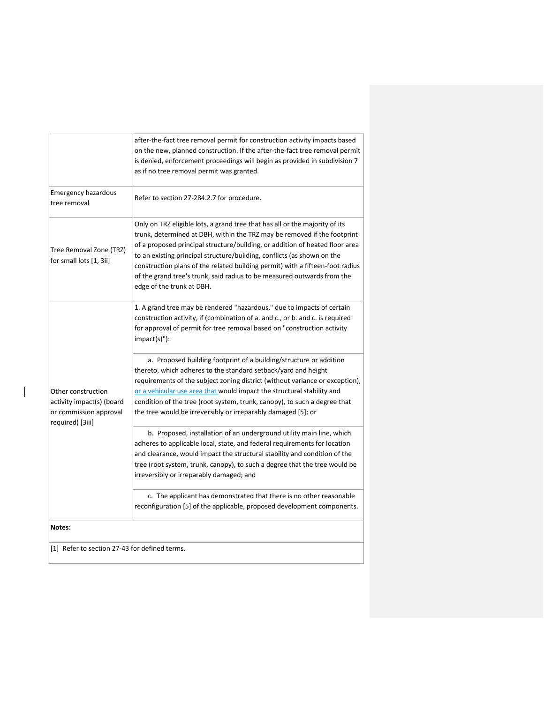|                                                                                               | after-the-fact tree removal permit for construction activity impacts based<br>on the new, planned construction. If the after-the-fact tree removal permit<br>is denied, enforcement proceedings will begin as provided in subdivision 7<br>as if no tree removal permit was granted.                                                                                                                                                                                                                        |
|-----------------------------------------------------------------------------------------------|-------------------------------------------------------------------------------------------------------------------------------------------------------------------------------------------------------------------------------------------------------------------------------------------------------------------------------------------------------------------------------------------------------------------------------------------------------------------------------------------------------------|
| <b>Emergency hazardous</b><br>tree removal                                                    | Refer to section 27-284.2.7 for procedure.                                                                                                                                                                                                                                                                                                                                                                                                                                                                  |
| Tree Removal Zone (TRZ)<br>for small lots [1, 3ii]                                            | Only on TRZ eligible lots, a grand tree that has all or the majority of its<br>trunk, determined at DBH, within the TRZ may be removed if the footprint<br>of a proposed principal structure/building, or addition of heated floor area<br>to an existing principal structure/building, conflicts (as shown on the<br>construction plans of the related building permit) with a fifteen-foot radius<br>of the grand tree's trunk, said radius to be measured outwards from the<br>edge of the trunk at DBH. |
| Other construction<br>activity impact(s) (board<br>or commission approval<br>required) [3iii] | 1. A grand tree may be rendered "hazardous," due to impacts of certain<br>construction activity, if (combination of a. and c., or b. and c. is required<br>for approval of permit for tree removal based on "construction activity<br>impact(s)"):                                                                                                                                                                                                                                                          |
|                                                                                               | a. Proposed building footprint of a building/structure or addition<br>thereto, which adheres to the standard setback/yard and height<br>requirements of the subject zoning district (without variance or exception),<br>or a vehicular use area that would impact the structural stability and<br>condition of the tree (root system, trunk, canopy), to such a degree that<br>the tree would be irreversibly or irreparably damaged [5]; or                                                                |
|                                                                                               | b. Proposed, installation of an underground utility main line, which<br>adheres to applicable local, state, and federal requirements for location<br>and clearance, would impact the structural stability and condition of the<br>tree (root system, trunk, canopy), to such a degree that the tree would be<br>irreversibly or irreparably damaged; and                                                                                                                                                    |
|                                                                                               | c. The applicant has demonstrated that there is no other reasonable<br>reconfiguration [5] of the applicable, proposed development components.                                                                                                                                                                                                                                                                                                                                                              |
| Notes:                                                                                        |                                                                                                                                                                                                                                                                                                                                                                                                                                                                                                             |

 $\vert$  [1] Refer to section 27-43 for defined terms.

 $\overline{\phantom{a}}$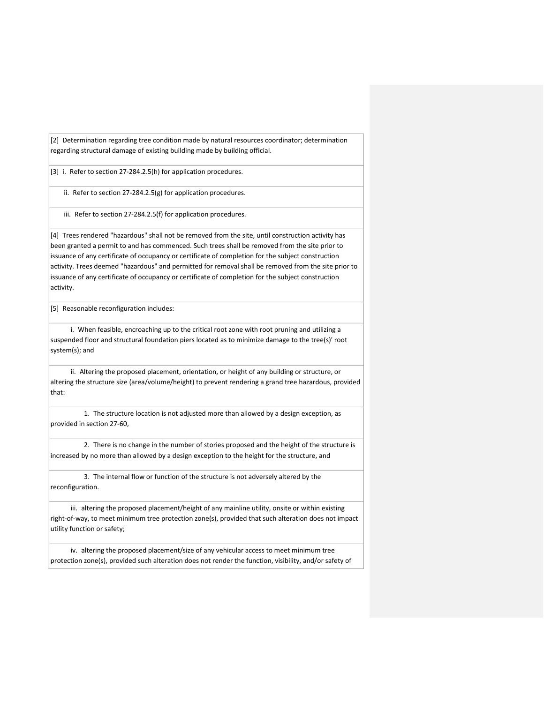[2] Determination regarding tree condition made by natural resources coordinator; determination regarding structural damage of existing building made by building official.

[3] i. Refer to section 27-284.2.5(h) for application procedures.

ii. Refer to section 27-284.2.5(g) for application procedures.

iii. Refer to section 27-284.2.5(f) for application procedures.

[4] Trees rendered "hazardous" shall not be removed from the site, until construction activity has been granted a permit to and has commenced. Such trees shall be removed from the site prior to issuance of any certificate of occupancy or certificate of completion for the subject construction activity. Trees deemed "hazardous" and permitted for removal shall be removed from the site prior to issuance of any certificate of occupancy or certificate of completion for the subject construction activity.

[5] Reasonable reconfiguration includes:

 i. When feasible, encroaching up to the critical root zone with root pruning and utilizing a suspended floor and structural foundation piers located as to minimize damage to the tree(s)' root system(s); and

 ii. Altering the proposed placement, orientation, or height of any building or structure, or altering the structure size (area/volume/height) to prevent rendering a grand tree hazardous, provided that:

 1. The structure location is not adjusted more than allowed by a design exception, as provided in section 27-60,

 2. There is no change in the number of stories proposed and the height of the structure is increased by no more than allowed by a design exception to the height for the structure, and

 3. The internal flow or function of the structure is not adversely altered by the reconfiguration.

 iii. altering the proposed placement/height of any mainline utility, onsite or within existing right-of-way, to meet minimum tree protection zone(s), provided that such alteration does not impact utility function or safety;

 iv. altering the proposed placement/size of any vehicular access to meet minimum tree protection zone(s), provided such alteration does not render the function, visibility, and/or safety of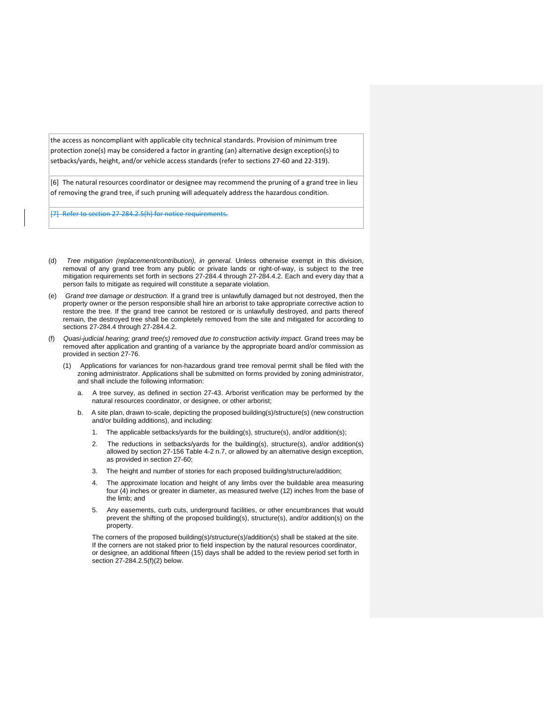the access as noncompliant with applicable city technical standards. Provision of minimum tree protection zone(s) may be considered a factor in granting (an) alternative design exception(s) to setbacks/yards, height, and/or vehicle access standards (refer to sections 27-60 and 22-319).

[6] The natural resources coordinator or designee may recommend the pruning of a grand tree in lieu of removing the grand tree, if such pruning will adequately address the hazardous condition.

[7] Refer to section 27-284.2.5(h) for notice requirements.

- (d) *Tree mitigation (replacement/contribution), in general.* Unless otherwise exempt in this division, removal of any grand tree from any public or private lands or right-of-way, is subject to the tree mitigation requirements set forth in sections 27-284.4 through 27-284.4.2. Each and every day that a person fails to mitigate as required will constitute a separate violation.
- (e) *Grand tree damage or destruction.* If a grand tree is unlawfully damaged but not destroyed, then the property owner or the person responsible shall hire an arborist to take appropriate corrective action to restore the tree. If the grand tree cannot be restored or is unlawfully destroyed, and parts thereof remain, the destroyed tree shall be completely removed from the site and mitigated for according to sections 27-284.4 through 27-284.4.2.
- (f) *Quasi-judicial hearing; grand tree(s) removed due to construction activity impact.* Grand trees may be removed after application and granting of a variance by the appropriate board and/or commission as provided in section 27-76.
	- (1) Applications for variances for non-hazardous grand tree removal permit shall be filed with the zoning administrator. Applications shall be submitted on forms provided by zoning administrator, and shall include the following information:
		- a. A tree survey, as defined in section 27-43. Arborist verification may be performed by the natural resources coordinator, or designee, or other arborist;
		- b. A site plan, drawn to-scale, depicting the proposed building(s)/structure(s) (new construction and/or building additions), and including:
			- 1. The applicable setbacks/yards for the building(s), structure(s), and/or addition(s);
			- 2. The reductions in setbacks/yards for the building(s), structure(s), and/or addition(s) allowed by section 27-156 Table 4-2 n.7, or allowed by an alternative design exception, as provided in section 27-60;
			- 3. The height and number of stories for each proposed building/structure/addition;
			- 4. The approximate location and height of any limbs over the buildable area measuring four (4) inches or greater in diameter, as measured twelve (12) inches from the base of the limb; and
			- 5. Any easements, curb cuts, underground facilities, or other encumbrances that would prevent the shifting of the proposed building(s), structure(s), and/or addition(s) on the property.

The corners of the proposed building(s)/structure(s)/addition(s) shall be staked at the site. If the corners are not staked prior to field inspection by the natural resources coordinator, or designee, an additional fifteen (15) days shall be added to the review period set forth in section 27-284.2.5(f)(2) below.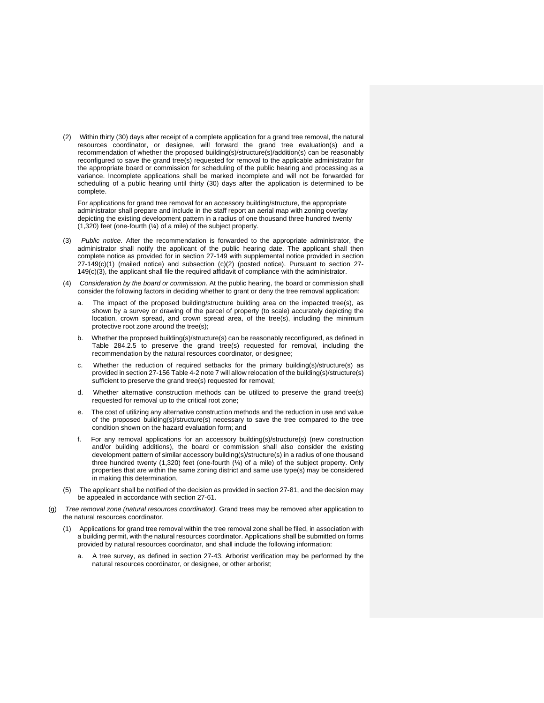(2) Within thirty (30) days after receipt of a complete application for a grand tree removal, the natural resources coordinator, or designee, will forward the grand tree evaluation(s) and a recommendation of whether the proposed building(s)/structure(s)/addition(s) can be reasonably reconfigured to save the grand tree(s) requested for removal to the applicable administrator for the appropriate board or commission for scheduling of the public hearing and processing as a variance. Incomplete applications shall be marked incomplete and will not be forwarded for scheduling of a public hearing until thirty (30) days after the application is determined to be complete.

For applications for grand tree removal for an accessory building/structure, the appropriate administrator shall prepare and include in the staff report an aerial map with zoning overlay depicting the existing development pattern in a radius of one thousand three hundred twenty (1,320) feet (one-fourth (¼) of a mile) of the subject property.

- (3) *Public notice.* After the recommendation is forwarded to the appropriate administrator, the administrator shall notify the applicant of the public hearing date. The applicant shall then complete notice as provided for in section 27-149 with supplemental notice provided in section 27-149(c)(1) (mailed notice) and subsection (c)(2) (posted notice). Pursuant to section 27- 149(c)(3), the applicant shall file the required affidavit of compliance with the administrator.
- (4) *Consideration by the board or commission.* At the public hearing, the board or commission shall consider the following factors in deciding whether to grant or deny the tree removal application:
	- a. The impact of the proposed building/structure building area on the impacted tree(s), as shown by a survey or drawing of the parcel of property (to scale) accurately depicting the location, crown spread, and crown spread area, of the tree(s), including the minimum protective root zone around the tree(s);
	- b. Whether the proposed building(s)/structure(s) can be reasonably reconfigured, as defined in Table 284.2.5 to preserve the grand tree(s) requested for removal, including the recommendation by the natural resources coordinator, or designee;
	- c. Whether the reduction of required setbacks for the primary building(s)/structure(s) as provided in section 27-156 Table 4-2 note 7 will allow relocation of the building(s)/structure(s) sufficient to preserve the grand tree(s) requested for removal;
	- d. Whether alternative construction methods can be utilized to preserve the grand tree(s) requested for removal up to the critical root zone;
	- e. The cost of utilizing any alternative construction methods and the reduction in use and value of the proposed building(s)/structure(s) necessary to save the tree compared to the tree condition shown on the hazard evaluation form; and
	- f. For any removal applications for an accessory building(s)/structure(s) (new construction and/or building additions), the board or commission shall also consider the existing development pattern of similar accessory building(s)/structure(s) in a radius of one thousand three hundred twenty (1,320) feet (one-fourth  $\binom{1}{4}$  of a mile) of the subject property. Only properties that are within the same zoning district and same use type(s) may be considered in making this determination.
- (5) The applicant shall be notified of the decision as provided in section 27-81, and the decision may be appealed in accordance with section 27-61.
- (g) *Tree removal zone (natural resources coordinator).* Grand trees may be removed after application to the natural resources coordinator.
	- Applications for grand tree removal within the tree removal zone shall be filed, in association with a building permit, with the natural resources coordinator. Applications shall be submitted on forms provided by natural resources coordinator, and shall include the following information:
		- a. A tree survey, as defined in section 27-43. Arborist verification may be performed by the natural resources coordinator, or designee, or other arborist;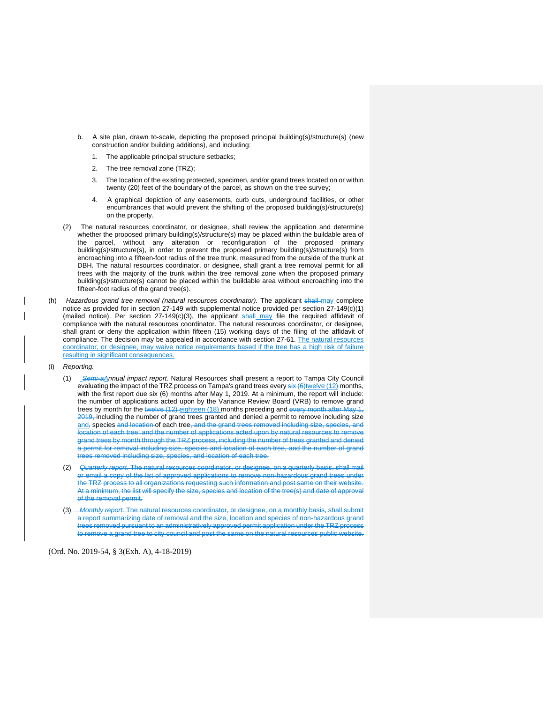- b. A site plan, drawn to-scale, depicting the proposed principal building(s)/structure(s) (new construction and/or building additions), and including:
	- 1. The applicable principal structure setbacks;
	- 2. The tree removal zone (TRZ);
	- 3. The location of the existing protected, specimen, and/or grand trees located on or within twenty (20) feet of the boundary of the parcel, as shown on the tree survey;
	- 4. A graphical depiction of any easements, curb cuts, underground facilities, or other encumbrances that would prevent the shifting of the proposed building(s)/structure(s) on the property.
- (2) The natural resources coordinator, or designee, shall review the application and determine whether the proposed primary building(s)/structure(s) may be placed within the buildable area of the parcel, without any alteration or reconfiguration of the proposed primary building(s)/structure(s), in order to prevent the proposed primary building(s)/structure(s) from encroaching into a fifteen-foot radius of the tree trunk, measured from the outside of the trunk at DBH. The natural resources coordinator, or designee, shall grant a tree removal permit for all trees with the majority of the trunk within the tree removal zone when the proposed primary building(s)/structure(s) cannot be placed within the buildable area without encroaching into the fifteen-foot radius of the grand tree(s).
- (h) *Hazardous grand tree removal (natural resources coordinator).* The applicant shall may complete notice as provided for in section 27-149 with supplemental notice provided per section 27-149(c)(1) (mailed notice). Per section  $27-149(c)(3)$ , the applicant shall may file the required affidavit of compliance with the natural resources coordinator. The natural resources coordinator, or designee, shall grant or deny the application within fifteen (15) working days of the filing of the affidavit of compliance. The decision may be appealed in accordance with section 27-61. The natural resources coordinator, or designee, may waive notice requirements based if the tree has a high risk of failure resulting in significant consequences.
- (i) *Reporting.*
	- (1) *Semi-aAnnual impact report.* Natural Resources shall present a report to Tampa City Council evaluating the impact of the TRZ process on Tampa's grand trees every  $s$ ix (6)twelve (12) months, with the first report due six (6) months after May 1, 2019. At a minimum, the report will include: the number of applications acted upon by the Variance Review Board (VRB) to remove grand trees by month for the twelve (12) eighteen (18) months preceding and every month after May 1, 2019, including the number of grand trees granted and denied a permit to remove including size and, species and location of each tree, and the grand trees removed including size, species, and location of each tree; and the number of applications acted upon by natural resources to remove grand trees by month through the TRZ process, including the number of trees granted and denied a permit for removal including size, species and location of each tree, and the number of grand trees removed including size, species, and location of each tree.
	- (2) *Quarterly report.* The natural resources coordinator, or designee, on a quarterly basis, shall mail or email a copy of the list of approved applications to remove non-hazardous grand trees under the TRZ process to all organizations requesting such information and post same on their website. At a minimum, the list will specify the size, species and location of the tree(s) and date of approval of the removal permit.
	- (3) *Monthly report.* The natural resources coordinator, or designee, on a monthly basis, shall submit a report summarizing date of removal and the size, location and species of non-hazardous grand is removed pursuant to an administratively approved permit application under the TRZ process to remove a grand tree to city council and post the same on the natural resources public website.

(Ord. No. 2019-54, § 3(Exh. A), 4-18-2019)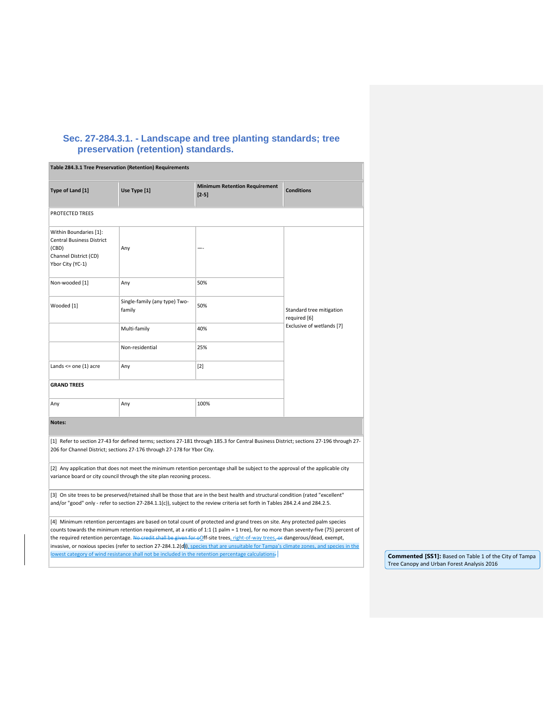## **Sec. 27-284.3.1. - Landscape and tree planting standards; tree preservation (retention) standards.**

|                                                                                                                  | Table 284.3.1 Tree Preservation (Retention) Requirements                |                                                                                                                                                                                                                                                                                                                                                                                                                                                                                                                                                                                                                                                             |                                                                       |                                                               |
|------------------------------------------------------------------------------------------------------------------|-------------------------------------------------------------------------|-------------------------------------------------------------------------------------------------------------------------------------------------------------------------------------------------------------------------------------------------------------------------------------------------------------------------------------------------------------------------------------------------------------------------------------------------------------------------------------------------------------------------------------------------------------------------------------------------------------------------------------------------------------|-----------------------------------------------------------------------|---------------------------------------------------------------|
| Type of Land [1]                                                                                                 | Use Type [1]                                                            | <b>Minimum Retention Requirement</b><br>$[2-5]$                                                                                                                                                                                                                                                                                                                                                                                                                                                                                                                                                                                                             | <b>Conditions</b>                                                     |                                                               |
| PROTECTED TREES                                                                                                  |                                                                         |                                                                                                                                                                                                                                                                                                                                                                                                                                                                                                                                                                                                                                                             |                                                                       |                                                               |
| Within Boundaries [1]:<br><b>Central Business District</b><br>(CBD)<br>Channel District (CD)<br>Ybor City (YC-1) | Any                                                                     |                                                                                                                                                                                                                                                                                                                                                                                                                                                                                                                                                                                                                                                             |                                                                       |                                                               |
| Non-wooded [1]                                                                                                   | Any                                                                     | 50%                                                                                                                                                                                                                                                                                                                                                                                                                                                                                                                                                                                                                                                         |                                                                       |                                                               |
| Wooded [1]                                                                                                       | Single-family (any type) Two-<br>family                                 | 50%                                                                                                                                                                                                                                                                                                                                                                                                                                                                                                                                                                                                                                                         | Standard tree mitigation<br>required [6]<br>Exclusive of wetlands [7] |                                                               |
|                                                                                                                  | Multi-family                                                            | 40%                                                                                                                                                                                                                                                                                                                                                                                                                                                                                                                                                                                                                                                         |                                                                       |                                                               |
|                                                                                                                  | Non-residential                                                         | 25%                                                                                                                                                                                                                                                                                                                                                                                                                                                                                                                                                                                                                                                         |                                                                       |                                                               |
| Lands $\le$ one (1) acre                                                                                         | Any                                                                     | $[2]$                                                                                                                                                                                                                                                                                                                                                                                                                                                                                                                                                                                                                                                       |                                                                       |                                                               |
| <b>GRAND TREES</b>                                                                                               |                                                                         |                                                                                                                                                                                                                                                                                                                                                                                                                                                                                                                                                                                                                                                             |                                                                       |                                                               |
| Any                                                                                                              | Any                                                                     | 100%                                                                                                                                                                                                                                                                                                                                                                                                                                                                                                                                                                                                                                                        |                                                                       |                                                               |
| Notes:                                                                                                           |                                                                         |                                                                                                                                                                                                                                                                                                                                                                                                                                                                                                                                                                                                                                                             |                                                                       |                                                               |
|                                                                                                                  | 206 for Channel District; sections 27-176 through 27-178 for Ybor City. | [1] Refer to section 27-43 for defined terms; sections 27-181 through 185.3 for Central Business District; sections 27-196 through 27-                                                                                                                                                                                                                                                                                                                                                                                                                                                                                                                      |                                                                       |                                                               |
|                                                                                                                  | variance board or city council through the site plan rezoning process.  | [2] Any application that does not meet the minimum retention percentage shall be subject to the approval of the applicable city                                                                                                                                                                                                                                                                                                                                                                                                                                                                                                                             |                                                                       |                                                               |
|                                                                                                                  |                                                                         | [3] On site trees to be preserved/retained shall be those that are in the best health and structural condition (rated "excellent"<br>and/or "good" only - refer to section 27-284.1.1(c)), subject to the review criteria set forth in Tables 284.2.4 and 284.2.5.                                                                                                                                                                                                                                                                                                                                                                                          |                                                                       |                                                               |
|                                                                                                                  |                                                                         | [4] Minimum retention percentages are based on total count of protected and grand trees on site. Any protected palm species<br>counts towards the minimum retention requirement, at a ratio of 1:1 (1 palm = 1 tree), for no more than seventy-five (75) percent of<br>the required retention percentage. No credit shall be given for oOff-site trees, right-of-way trees, or dangerous/dead, exempt,<br>invasive, or noxious species (refer to section $27-284.1.2(d))$ , species that are unsuitable for Tampa's climate zones, and species in the<br>lowest category of wind resistance shall not be included in the retention percentage calculations. |                                                                       | <b>Commented [SS1]:</b> Based on Table 1 of the City of Tampa |
|                                                                                                                  |                                                                         |                                                                                                                                                                                                                                                                                                                                                                                                                                                                                                                                                                                                                                                             |                                                                       |                                                               |

Tree Canopy and Urban Forest Analysis 2016